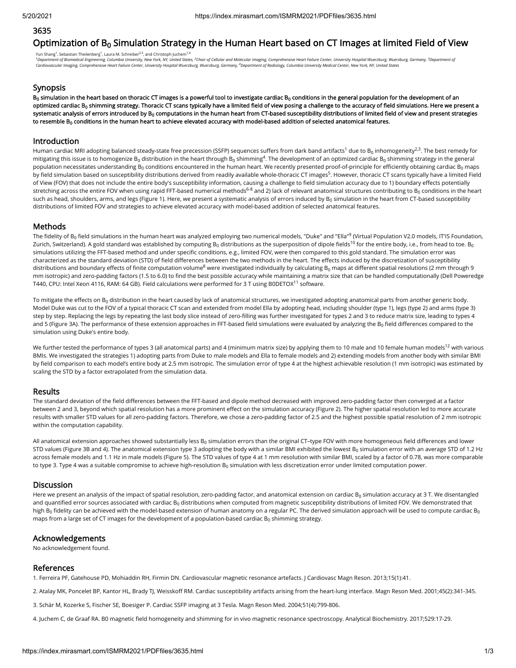# 3635

# Optimization of  $\mathsf{B}_0$  Simulation Strategy in the Human Heart based on CT Images at limited Field of View

Yun Shang<sup>1</sup>, Sebastian Theilenberg<sup>1</sup>, Laura M. Schreiber<sup>2,3</sup>, and Christoph Juchem<sup>1,4</sup> <sup>1</sup>Department of Biomedical Engineering, Columbia University, New York, NY, United States, <sup>2</sup>Chair of Cellular and Molecular Imaging, Comprehensive Heart Failure Center, University Hospital Wuerzburg, Wuerzburg, Germany, *Cardiovascular Imaging, Comprehensive Heart Failure Center, University Hospital Wuerzburg, Wuerzburg, Germany, Department of Radiology, Columbia University Medical Center, New York, NY, United States 4*

# Synopsis

 ${\tt B}_0$  simulation in the heart based on thoracic CT images is a powerful tool to investigate cardiac  ${\tt B}_0$  conditions in the general population for the development of an optimized cardiac B<sub>0</sub> shimming strategy. Thoracic CT scans typically have a limited field of view posing a challenge to the accuracy of field simulations. Here we present a systematic analysis of errors introduced by B<sub>0</sub> computations in the human heart from CT-based susceptibility distributions of limited field of view and present strategies to resemble B $_{\rm 0}$  conditions in the human heart to achieve elevated accuracy with model-based addition of selected anatomical features.

### Introduction

Human cardiac MRI adopting balanced steady-state free precession (SSFP) sequences suffers from dark band artifacts<sup>1</sup> due to B<sub>0</sub> inhomogeneity<sup>2,3</sup>. The best remedy for mitigating this issue is to homogenize B<sub>0</sub> distribution in the heart through B<sub>0</sub> shimming<sup>4</sup>. The development of an optimized cardiac B<sub>0</sub> shimming strategy in the general population necessitates understanding B<sub>0</sub> conditions encountered in the human heart. We recently presented proof-of-principle for efficiently obtaining cardiac B<sub>0</sub> maps by field simulation based on susceptibility distributions derived from readily available whole-thoracic CT images<sup>5</sup>. However, thoracic CT scans typically have a limited Field of View (FOV) that does not include the entire body's susceptibility information, causing a challenge to field simulation accuracy due to 1) boundary effects potentially stretching across the entire FOV when using rapid FFT-based numerical methods<sup>6-8</sup> and 2) lack of relevant anatomical structures contributing to B<sub>0</sub> conditions in the heart such as head, shoulders, arms, and legs (Figure 1). Here, we present a systematic analysis of errors induced by B $_{\rm 0}$  simulation in the heart from CT-based susceptibility distributions of limited FOV and strategies to achieve elevated accuracy with model-based addition of selected anatomical features.

# Methods

The fidelity of B<sub>0</sub> field simulations in the human heart was analyzed employing two numerical models, "Duke" and "Ella" $^9$  (Virtual Population V2.0 models, IT'IS Foundation, Zurich, Switzerland). A gold standard was established by computing B $_0$  distributions as the superposition of dipole fields<sup>10</sup> for the entire body, i.e., from head to toe. B $_0$ simulations utilizing the FFT-based method and under specific conditions, e.g., limited FOV, were then compared to this gold standard. The simulation error was characterized as the standard deviation (STD) of field differences between the two methods in the heart. The effects induced by the discretization of susceptibility distributions and boundary effects of finite computation volume<sup>8</sup> were investigated individually by calculating B<sub>0</sub> maps at different spatial resolutions (2 mm through 9 mm isotropic) and zero-padding factors (1.5 to 6.0) to find the best possible accuracy while maintaining a matrix size that can be handled computationally (Dell Poweredge T440, CPU: Intel Xeon 4116, RAM: 64 GB). Field calculations were performed for 3 T using B0DETOX $^{11}$  software.

To mitigate the effects on B $_0$  distribution in the heart caused by lack of anatomical structures, we investigated adopting anatomical parts from another generic body. Model Duke was cut to the FOV of a typical thoracic CT scan and extended from model Ella by adopting head, including shoulder (type 1), legs (type 2) and arms (type 3) step by step. Replacing the legs by repeating the last body slice instead of zero-filling was further investigated for types 2 and 3 to reduce matrix size, leading to types 4 and 5 (Figure 3A). The performance of these extension approaches in FFT-based field simulations were evaluated by analyzing the B $_{\rm 0}$  field differences compared to the simulation using Duke's entire body.

We further tested the performance of types 3 (all anatomical parts) and 4 (minimum matrix size) by applying them to 10 male and 10 female human models<sup>12</sup> with various BMIs. We investigated the strategies 1) adopting parts from Duke to male models and Ella to female models and 2) extending models from another body with similar BMI by field comparison to each model's entire body at 2.5 mm isotropic. The simulation error of type 4 at the highest achievable resolution (1 mm isotropic) was estimated by scaling the STD by a factor extrapolated from the simulation data.

### Results

The standard deviation of the field differences between the FFT-based and dipole method decreased with improved zero-padding factor then converged at a factor between 2 and 3, beyond which spatial resolution has a more prominent effect on the simulation accuracy (Figure 2). The higher spatial resolution led to more accurate results with smaller STD values for all zero-padding factors. Therefore, we chose a zero-padding factor of 2.5 and the highest possible spatial resolution of 2 mm isotropic within the computation capability.

All anatomical extension approaches showed substantially less B $_{0}$  simulation errors than the original CT–type FOV with more homogeneous field differences and lower STD values (Figure 3B and 4). The anatomical extension type 3 adopting the body with a similar BMI exhibited the lowest B $_{\rm 0}$  simulation error with an average STD of 1.2 Hz across female models and 1.1 Hz in male models (Figure 5). The STD values of type 4 at 1 mm resolution with similar BMI, scaled by a factor of 0.78, was more comparable to type 3. Type 4 was a suitable compromise to achieve high-resolution B $_{0}$  simulation with less discretization error under limited computation power.

### **Discussion**

Here we present an analysis of the impact of spatial resolution, zero-padding factor, and anatomical extension on cardiac B $_{\rm 0}$  simulation accuracy at 3 T. We disentangled and quantified error sources associated with cardiac B<sub>0</sub> distributions when computed from magnetic susceptibility distributions of limited FOV. We demonstrated that high B<sub>0</sub> fidelity can be achieved with the model-based extension of human anatomy on a regular PC. The derived simulation approach will be used to compute cardiac B<sub>0</sub> maps from a large set of CT images for the development of a population-based cardiac B $_{\rm 0}$  shimming strategy.

# Acknowledgements

No acknowledgement found.

# References

1. Ferreira PF, Gatehouse PD, Mohiaddin RH, Firmin DN. Cardiovascular magnetic resonance artefacts. J Cardiovasc Magn Reson. 2013;15(1):41.

2. Atalay MK, Poncelet BP, Kantor HL, Brady TJ, Weisskoff RM. Cardiac susceptibility artifacts arising from the heart-lung interface. Magn Reson Med. 2001;45(2):341-345.

3. Schär M, Kozerke S, Fischer SE, Boesiger P. Cardiac SSFP imaging at 3 Tesla. Magn Reson Med. 2004;51(4):799-806.

4. Juchem C, de Graaf RA. B0 magnetic field homogeneity and shimming for in vivo magnetic resonance spectroscopy. Analytical Biochemistry. 2017;529:17-29.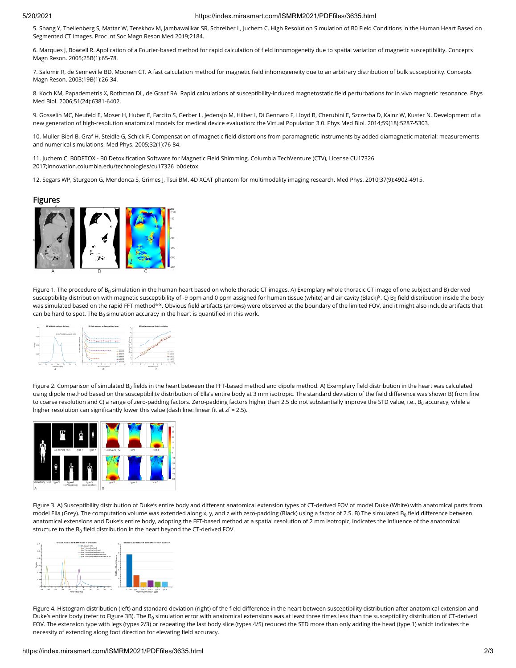#### 5/20/2021 https://index.mirasmart.com/ISMRM2021/PDFfiles/3635.html

5. Shang Y, Theilenberg S, Mattar W, Terekhov M, Jambawalikar SR, Schreiber L, Juchem C. High Resolution Simulation of B0 Field Conditions in the Human Heart Based on Segmented CT Images. Proc Int Soc Magn Reson Med 2019;2184.

6. Marques J, Bowtell R. Application of a Fourier‐based method for rapid calculation of eld inhomogeneity due to spatial variation of magnetic susceptibility. Concepts Magn Reson. 2005;25B(1):65-78.

7. Salomir R, de Senneville BD, Moonen CT. A fast calculation method for magnetic eld inhomogeneity due to an arbitrary distribution of bulk susceptibility. Concepts Magn Reson. 2003;19B(1):26-34.

8. Koch KM, Papademetris X, Rothman DL, de Graaf RA. Rapid calculations of susceptibility-induced magnetostatic field perturbations for in vivo magnetic resonance. Phys Med Biol. 2006;51(24):6381-6402.

9. Gosselin MC, Neufeld E, Moser H, Huber E, Farcito S, Gerber L, Jedensjo M, Hilber I, Di Gennaro F, Lloyd B, Cherubini E, Szczerba D, Kainz W, Kuster N. Development of a new generation of high-resolution anatomical models for medical device evaluation: the Virtual Population 3.0. Phys Med Biol. 2014;59(18):5287-5303.

10. Muller-Bierl B, Graf H, Steidle G, Schick F. Compensation of magnetic field distortions from paramagnetic instruments by added diamagnetic material: measurements and numerical simulations. Med Phys. 2005;32(1):76-84.

11. Juchem C. B0DETOX - B0 Detoxification Software for Magnetic Field Shimming. Columbia TechVenture (CTV), License CU17326 2017;innovation.columbia.edu/technologies/cu17326\_b0detox

12. Segars WP, Sturgeon G, Mendonca S, Grimes J, Tsui BM. 4D XCAT phantom for multimodality imaging research. Med Phys. 2010;37(9):4902-4915.

#### Figures



Figure 1. The procedure of B $_{\rm 0}$  simulation in the human heart based on whole thoracic CT images. A) Exemplary whole thoracic CT image of one subject and B) derived susceptibility distribution with magnetic susceptibility of -9 ppm and 0 ppm assigned for human tissue (white) and air cavity (Black)<sup>5</sup>. C) B<sub>0</sub> field distribution inside the body was simulated based on the rapid FFT method<sup>6-8</sup>. Obvious field artifacts (arrows) were observed at the boundary of the limited FOV, and it might also include artifacts that can be hard to spot. The  $\mathsf B_0$  simulation accuracy in the heart is quantified in this work.



Figure 2. Comparison of simulated B<sub>0</sub> fields in the heart between the FFT-based method and dipole method. A) Exemplary field distribution in the heart was calculated using dipole method based on the susceptibility distribution of Ella's entire body at 3 mm isotropic. The standard deviation of the field difference was shown B) from fine to coarse resolution and C) a range of zero-padding factors. Zero-padding factors higher than 2.5 do not substantially improve the STD value, i.e., B<sub>0</sub> accuracy, while a higher resolution can significantly lower this value (dash line: linear fit at  $z f = 2.5$ ).



Figure 3. A) Susceptibility distribution of Duke's entire body and different anatomical extension types of CT-derived FOV of model Duke (White) with anatomical parts from model Ella (Grey). The computation volume was extended along x, y, and z with zero-padding (Black) using a factor of 2.5. B) The simulated B<sub>0</sub> field difference between anatomical extensions and Duke's entire body, adopting the FFT-based method at a spatial resolution of 2 mm isotropic, indicates the influence of the anatomical structure to the  $\mathtt{B}_0$  field distribution in the heart beyond the CT-derived FOV.



Figure 4. Histogram distribution (left) and standard deviation (right) of the field difference in the heart between susceptibility distribution after anatomical extension and Duke's entire body (refer to Figure 3B). The B $_{\rm 0}$  simulation error with anatomical extensions was at least three times less than the susceptibility distribution of CT-derived FOV. The extension type with legs (types 2/3) or repeating the last body slice (types 4/5) reduced the STD more than only adding the head (type 1) which indicates the necessity of extending along foot direction for elevating field accuracy.